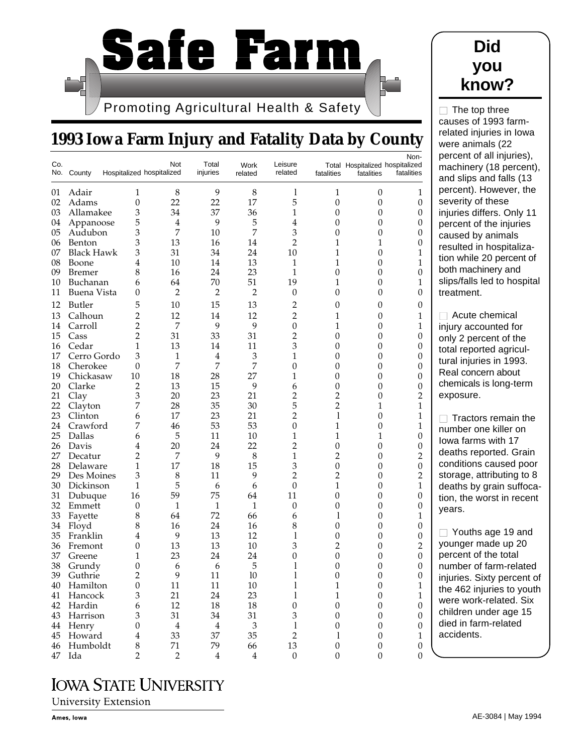

## **1993 Iowa Farm Injury and Fatality Data by County**

| Co. | No. County        | Hospitalized hospitalized | Not            | Total<br>injuries | Work<br>related             | Leisure<br>related          | fatalities       | Total Hospitalized hospitalized<br>fatalities | Non-<br>fatalities |
|-----|-------------------|---------------------------|----------------|-------------------|-----------------------------|-----------------------------|------------------|-----------------------------------------------|--------------------|
| 01  | Adair             | 1                         | 8              | 9                 | 8                           | 1                           | 1                | 0                                             | $\mathbf{1}$       |
| 02  | Adams             | $\boldsymbol{0}$          | 22             | 22                | 17                          | 5                           | $\boldsymbol{0}$ | $\boldsymbol{0}$                              | $\mathbf{0}$       |
| 03  | Allamakee         | 3                         | 34             | 37                | 36                          | 1                           | 0                | 0                                             | 0                  |
| 04  | Appanoose         | 5                         | $\overline{4}$ | 9                 | 5                           | $\overline{4}$              | 0                | 0                                             | 0                  |
| 05  | Audubon           | 3                         | 7              | 10                | 7                           | 3                           | 0                | $\boldsymbol{0}$                              | 0                  |
| 06  | Benton            | 3                         | 13             | 16                | 14                          | 2                           | 1                | 1                                             | 0                  |
| 07  | <b>Black Hawk</b> | 3                         | 31             | 34                | 24                          | 10                          | $\mathbf{1}$     | $\mathbf{0}$                                  | 1                  |
| 08  | Boone             | 4                         | 10             | 14                | 13                          | 1                           | $\mathbf{1}$     | 0                                             | 1                  |
| 09  | <b>Bremer</b>     | 8                         | 16             | 24                | 23                          | $\mathbf{1}$                | $\boldsymbol{0}$ | $\boldsymbol{0}$                              | $\boldsymbol{0}$   |
| 10  | Buchanan          | 6                         | 64             | 70                | 51                          | 19                          | $\mathbf{1}$     | $\mathbf{0}$                                  | $\mathbf{1}$       |
| 11  | Buena Vista       | 0                         | $\overline{2}$ | $\overline{2}$    | $\overline{2}$              | $\theta$                    | 0                | 0                                             | 0                  |
| 12  | <b>Butler</b>     | 5                         | 10             | 15                | 13                          | 2                           | 0                | 0                                             | 0                  |
| 13  | Calhoun           | $\overline{2}$            | 12             | 14                | 12                          | $\overline{2}$              | $\mathbf{1}$     | 0                                             | 1                  |
| 14  | Carroll           | $\overline{2}$            | 7              | 9                 | 9                           | $\mathbf{0}$                | 1                | 0                                             | 1                  |
| 15  | Cass              | $\overline{2}$            | 31             | 33                | 31                          | $\overline{2}$              | $\theta$         | 0                                             | 0                  |
| 16  | Cedar             | $\mathbf{1}$              | 13             | 14                | 11                          | 3                           | 0                | 0                                             | 0                  |
| 17  | Cerro Gordo       | 3                         | 1              | 4                 | 3                           | 1                           | 0                | 0                                             | 0                  |
| 18  | Cherokee          | $\overline{0}$            | 7              | 7                 | 7                           | 0                           | 0                | 0                                             | 0                  |
| 19  | Chickasaw         | 10                        | 18             | 28                | 27                          | 1                           | $\boldsymbol{0}$ | 0                                             | 0                  |
| 20  | Clarke            | $\overline{2}$            | 13             | 15                | 9                           | 6                           | $\theta$         | 0                                             | 0                  |
| 21  | Clay              | 3                         | 20             | 23                | 21                          | 2                           | $\overline{2}$   | 0                                             | $\overline{2}$     |
| 22  | Clayton           | 7                         | 28             | 35                | 30                          | 5                           | $\overline{2}$   | 1                                             | 1                  |
| 23  | Clinton           | 6                         | 17             | 23                | 21                          | $\overline{2}$              | 1                | $\boldsymbol{0}$                              | 1                  |
| 24  | Crawford          | 7                         | 46             | 53                | 53                          | $\overline{0}$              | 1                | $\boldsymbol{0}$                              | 1                  |
| 25  | Dallas            | 6                         | 5              | 11                | 10                          | 1                           | 1                | 1                                             | 0                  |
| 26  | Davis             | 4                         | 20             | 24                | 22                          | $\overline{2}$              | 0                | 0                                             | 0                  |
| 27  | Decatur           | $\overline{2}$            | 7              | 9                 | 8                           | 1                           | $\overline{2}$   | 0                                             | $\overline{2}$     |
| 28  | Delaware          | $\mathbf{1}$              | 17             | 18                | 15                          | 3                           | $\boldsymbol{0}$ | $\boldsymbol{0}$                              | $\boldsymbol{0}$   |
| 29  | Des Moines        | 3                         | 8              | 11                | 9                           | $\overline{2}$              | $\overline{2}$   | 0                                             | $\overline{2}$     |
| 30  | Dickinson         | 1                         | 5              | 6                 | 6                           | $\theta$                    | $\mathbf{1}$     | 0                                             | 1                  |
| 31  | Dubuque           | 16                        | 59             | 75                | 64                          | 11                          | $\theta$         | 0                                             | 0                  |
| 32  | Emmett            | $\boldsymbol{0}$          | 1              | $\mathbf{1}$      | $\mathbf{1}$                | 0                           | 0                | $\boldsymbol{0}$                              | 0                  |
| 33  | Fayette           | 8                         | 64             | 72                | 66                          | 6                           | 1                | 0                                             | 1                  |
| 34  | Floyd             | 8                         | 16             | 24                | 16                          | 8                           | 0                | 0                                             | 0                  |
| 35  | Franklin          | 4                         | 9              | 13                | 12                          | 1                           | $\boldsymbol{0}$ | 0                                             | 0                  |
| 36  | Fremont           | $\theta$                  | 13             | 13                | 10                          | 3                           | $\overline{2}$   | 0                                             | $\overline{2}$     |
| 37  | Greene            | 1                         | 23             | 24                | 24                          | 0                           | 0                | 0                                             | 0                  |
| 38  | Grundy            | 0                         | 6              | 6                 | 5                           | 1                           | 0                | 0                                             | 0                  |
| 39  | Guthrie           | $\overline{2}$            | 9              | 11                | 10                          | 1                           | $\Omega$         | 0                                             | 0                  |
| 40  | Hamilton          | $\boldsymbol{0}$          | $11\,$         | $11\,$            | $10\,$                      | $\mathbf{l}$                | $\,1\,$          | $\boldsymbol{0}$                              | $\mathbf{1}$       |
| 41  | Hancock           | 3                         | 21             | 24                | 23                          | 1                           | $\mathbf{1}$     | $\boldsymbol{0}$                              | $\mathbf{1}$       |
| 42  | Hardin            | 6                         | 12             | 18                | 18                          | $\boldsymbol{0}$            | $\boldsymbol{0}$ | $\boldsymbol{0}$                              | $\theta$           |
|     | 43 Harrison       | 3                         | 31             | 34                | 31                          | $\ensuremath{\mathfrak{Z}}$ | $\boldsymbol{0}$ | $\boldsymbol{0}$                              | $\theta$           |
|     | 44 Henry          | $\mathbf{0}$              | $\bf 4$        | $\overline{4}$    | $\ensuremath{\mathfrak{Z}}$ | 1                           | $\boldsymbol{0}$ | $\boldsymbol{0}$                              | $\boldsymbol{0}$   |
| 45  | Howard            | $\overline{4}$            | 33             | 37                | 35                          | $\overline{2}$              | 1                | $\boldsymbol{0}$                              | $\mathbf{1}$       |
| 46  | Humboldt          | $\,8$                     | 71             | 79                | 66                          | 13                          | $\boldsymbol{0}$ | $\boldsymbol{0}$                              | $\mathbf{0}$       |
| 47  | Ida               | $\overline{2}$            | $\overline{2}$ | $\overline{4}$    | $\overline{4}$              | $\boldsymbol{0}$            | $\boldsymbol{0}$ | $\boldsymbol{0}$                              | $\overline{0}$     |

## **IOWA STATE UNIVERSITY**

**University Extension** 



 $\Box$  The top three causes of 1993 farmrelated injuries in Iowa were animals (22 cent of all injuries), chinery (18 percent), d slips and falls (13 cent). However, the erity of these iries differs. Only 11 cent of the injuries sed by animals ulted in hospitalizawhile 20 percent of h machinery and s/falls led to hospital atment. Acute chemical

iry accounted for y 2 percent of the al reported agriculal injuries in 1993. al concern about emicals is long-term osure.

Tractors remain the nber one killer on a farms with 17 aths reported. Grain ditions caused poor rage, attributing to 8 aths by grain suffoca-, the worst in recent years.

Youths age 19 and nger made up 20 cent of the total nber of farm-related iries. Sixty percent of 462 injuries to youth e work-related. Six dren under age 15 d in farm-related cidents.